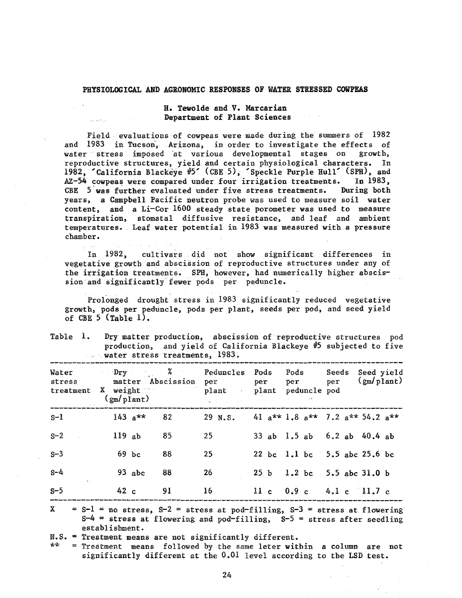## PHYSIOLOGICAL AND AGRONOMIC RESPONSES OF WATER STRESSED COWPEAS

## H. Tewolde and V. Marcarian Department of Plant Sciences

Field evaluations of cowpeas were made during the summers of 1982 and 1983 in Tucson, Arizona, in order to investigate the effects of<br>water stress imposed at various developmental stages on growth, water stress imposed at various developmental stages on reproductive structures, yield and certain physiological characters. In 1982, 'California Blackeye #5' (CBE 5), 'Speckle Purple Hull' (SPH), and AZ -54 cowpeas were compared under four irrigation treatments. In 1983, CBE 5 was further evaluated under five stress treatments. During both years, a Campbell Pacific neutron probe was used to measure soil water content, and a  $Li-Cor 1600$  steady state porometer was used to measure transpiration, stomatal diffusive resistance, and leaf and ambient temperatures. Leaf water potential in 1983 was measured with a pressure chamber.

In 1982, cultivars did not show significant differences in vegetative growth and abscission of reproductive structures under any of the irrigation treatments. SPH, however, had numerically higher abscission and significantly fewer pods per peduncle.

Prolonged drought stress in 1983 significantly reduced vegetative growth, pods per peduncle, pods per plant, seeds per pod, and seed yield of CBE  $5$  (Table 1).

|  |                                | Table 1. Dry matter production, abscission of reproductive structures pod |
|--|--------------------------------|---------------------------------------------------------------------------|
|  |                                | production, and yield of California Blackeye #5 subjected to five         |
|  | water stress treatments, 1983. |                                                                           |

| Water<br>stress<br>treatment       | Dry<br>X weight | $(g_m/p1an t)$ | matter Abscission | Peduncles Pods<br>per<br>plant<br>$\alpha$ | per             | Pods<br>per<br>plant peduncle pod | Seeds<br>per | Seed yield<br>$(g_m/plant)$                         |
|------------------------------------|-----------------|----------------|-------------------|--------------------------------------------|-----------------|-----------------------------------|--------------|-----------------------------------------------------|
| $S-1$                              |                 | $143 a**$      | 82                | 29 N.S.                                    |                 |                                   |              | 41 $a^{**}$ 1.8 $a^{**}$ 7.2 $a^{**}$ 54.2 $a^{**}$ |
| $S-2$                              |                 | 119ab          | 85                | 25                                         |                 | 33 ab 1.5 ab 6.2 ab 40.4 ab       |              |                                                     |
| $S-3$                              |                 | $69$ bc        | 88                | 25                                         |                 | 22 bc 1.1 bc 5.5 abc 25.6 bc      |              |                                                     |
| $S - 4$<br>$\mathbf{A}=\mathbf{A}$ |                 | $93$ abc       | 88                | 26                                         |                 | 25 b 1.2 bc 5.5 abc 31.0 b        |              |                                                     |
| $S-5$                              |                 | 42c            | 91                | 16                                         | 11 <sub>c</sub> | 0.9c                              |              | $4.1c$ 11.7 c                                       |

 $X = S - 1 = no stress, S - 2 = stress at pod-filling, S - 3 = stress at flowering$  $S<sup>-4</sup>$  = stress at flowering and pod-filling,  $S<sup>-5</sup>$  = stress after seedling establishment.

 $N.S.$  = Treatment means are not significantly different.<br>\*\* = Treatment means followed by the same leter with

= Treatment means followed by the same leter within a column are not significantly different at the  $0.01$  level according to the LSD test.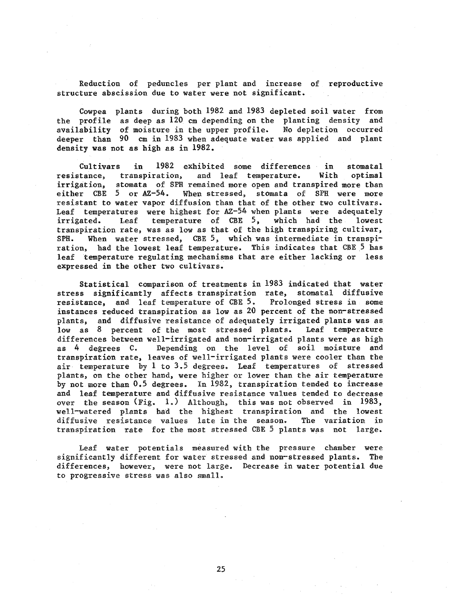Reduction of peduncles per plant and increase of reproductive structure abscission due to water were not significant.

Cowpea plants during both 1982 and 1983 depleted soil water from the profile as deep as 120 cm depending on the planting density and availability of moisture in the upper profile. No depletion occurred deeper than 90 cm in 1933 when adequate water was applied and plant density was not as high as in 1982.

Cultivars in 1982 exhibited some differences in stomatal resistance, transpiration, and leaf temperature. With optimal irrigation, stomata of SPH remained more open and transpired more than either CBE 5 or AZ-54. When stressed, stomata of SPH were more resistant to water vapor diffusion than that of the other two cultivars. Leaf temperatures were highest for AZ-54 when plants were adequately irrigated. Leaf temperature of CBE 5, which had the lowest transpiration rate, was as low as that of the high transpiring cultivar, SPH. When water stressed, CBE 5, which was intermediate in transpiration, had the lowest leaf temperature. This indicates that CBE 5 has leaf temperature regulating mechanisms that are either lacking or less expressed in the other two cultivars.

Statistical comparison of treatments in 1983 indicated that water stress significantly affects transpiration rate, stomatal diffusive resistance, and leaf temperature of CBE 5. Prolonged stress in some instances reduced transpiration as low as 20 percent of the non-stressed plants, and diffusive resistance of adequately irrigated plants was as low as 8 percent of the most stressed plants. Leaf temperature differences between well-irrigated and non-irrigated plants were as high as 4 degrees C. Depending on the level of soil moisture and transpiration rate, leaves of well-irrigated plants were cooler than the air temperature by  $l$  to  $3.5$  degrees. Leaf temperatures of stressed plants, on the other hand, were higher or lower than the air temperature by not more than 0.5 degrees. In 1982, transpiration tended to increase and leaf temperature and diffusive resistance values tended to decrease over the season (Fig. 1.) Although, this was not observed in 1983, well-watered plants had the highest transpiration and the lowest diffusive resistance values late in the season. The variation in transpiration rate for the most stressed CBE 5 plants was not large.

Leaf water potentials measured with the pressure chamber were significantly different for water stressed and non-stressed plants. The differences, however, were not large. Decrease in water potential due to progressive stress was also small.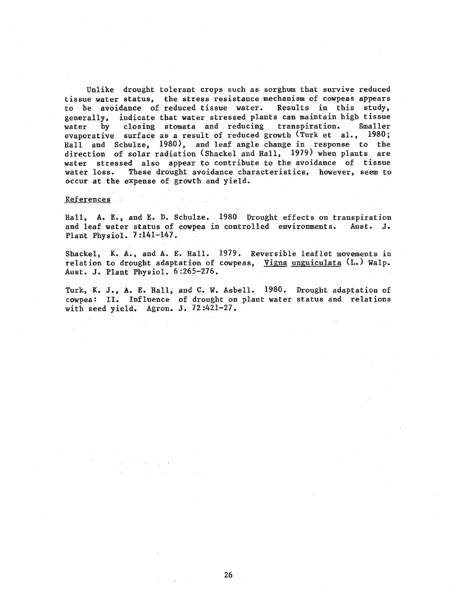Unlike drought tolerant crops such as sorghum that survive reduced tissue water status, the stress resistance mechanism of cowpeas appears to be avoidance of reduced tissue water. Results in this study, generally, indicate that water stressed plants can maintain high tissue<br>water by closing stomata and reducing transpiration. Smaller water by closing stomata and reducing transpiration. evaporative surface as a result of reduced growth (Turk et al., 1980; Hall and Schulze, 1980), and leaf angle change in response to the direction of solar radiation (Shackel and Hall, 1979) when plants are water stressed also appear to contribute to the avoidance of tissue<br>water loss. These drought avoidance characteristics, however, seem to These drought avoidance characteristics, however, seem to occur at the expense of growth and yield.

## References

Hall, A. E., and E. D. Schulze. 1980 Drought effects on transpiration and leaf water status of cowpea in controlled environments. Aust. J. Plant Physiol. 7:141-147.

Shackel, K. A., and A. E. Hall. 1979. Reversible leaflet movements in relation to drought adaptation of cowpeas, Vigna unguiculata (L.) Walp. Aust. J. Plant Physiol. 6:265-276.

Turk, K. J., A. E. Hall, and C. W. Asbell. 1980. Drought adaptation of cowpea: II. Influence of drought on plant water status and relations with seed yield. Agron. J. 72:421-27.